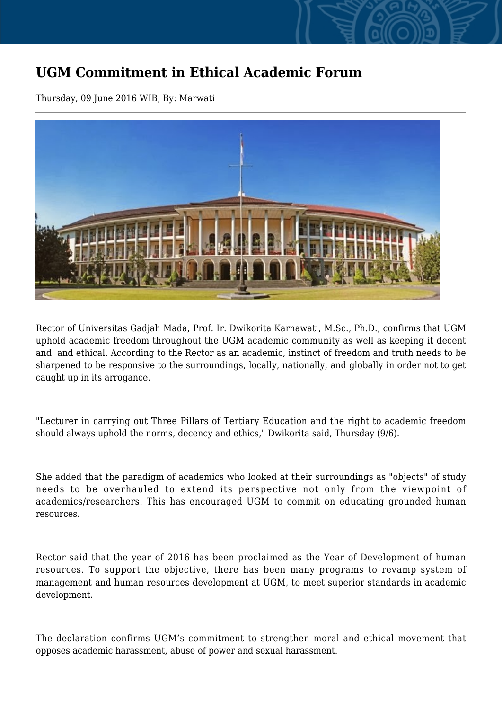## **UGM Commitment in Ethical Academic Forum**

Thursday, 09 June 2016 WIB, By: Marwati



Rector of Universitas Gadjah Mada, Prof. Ir. Dwikorita Karnawati, M.Sc., Ph.D., confirms that UGM uphold academic freedom throughout the UGM academic community as well as keeping it decent and and ethical. According to the Rector as an academic, instinct of freedom and truth needs to be sharpened to be responsive to the surroundings, locally, nationally, and globally in order not to get caught up in its arrogance.

"Lecturer in carrying out Three Pillars of Tertiary Education and the right to academic freedom should always uphold the norms, decency and ethics," Dwikorita said, Thursday (9/6).

She added that the paradigm of academics who looked at their surroundings as "objects" of study needs to be overhauled to extend its perspective not only from the viewpoint of academics/researchers. This has encouraged UGM to commit on educating grounded human resources.

Rector said that the year of 2016 has been proclaimed as the Year of Development of human resources. To support the objective, there has been many programs to revamp system of management and human resources development at UGM, to meet superior standards in academic development.

The declaration confirms UGM's commitment to strengthen moral and ethical movement that opposes academic harassment, abuse of power and sexual harassment.